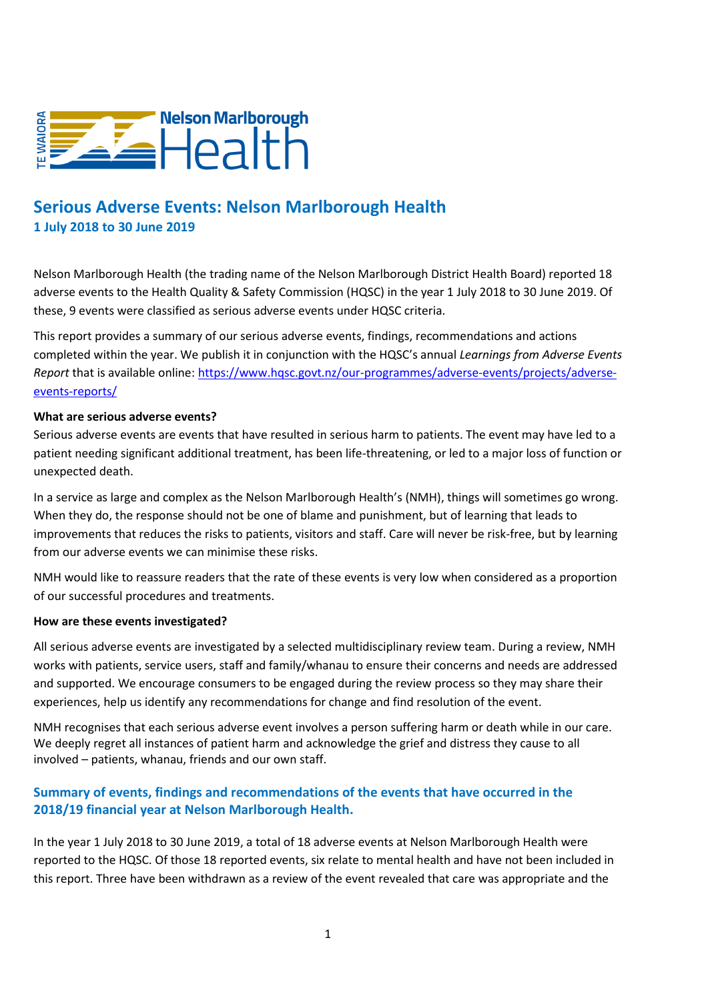

# **Serious Adverse Events: Nelson Marlborough Health 1 July 2018 to 30 June 2019**

Nelson Marlborough Health (the trading name of the Nelson Marlborough District Health Board) reported 18 adverse events to the Health Quality & Safety Commission (HQSC) in the year 1 July 2018 to 30 June 2019. Of these, 9 events were classified as serious adverse events under HQSC criteria.

This report provides a summary of our serious adverse events, findings, recommendations and actions completed within the year. We publish it in conjunction with the HQSC's annual *Learnings from Adverse Events Report* that is available online: [https://www.hqsc.govt.nz/our-programmes/adverse-events/projects/adverse](https://www.hqsc.govt.nz/our-programmes/adverse-events/projects/adverse-events-reports/)[events-reports/](https://www.hqsc.govt.nz/our-programmes/adverse-events/projects/adverse-events-reports/)

#### **What are serious adverse events?**

Serious adverse events are events that have resulted in serious harm to patients. The event may have led to a patient needing significant additional treatment, has been life-threatening, or led to a major loss of function or unexpected death.

In a service as large and complex as the Nelson Marlborough Health's (NMH), things will sometimes go wrong. When they do, the response should not be one of blame and punishment, but of learning that leads to improvements that reduces the risks to patients, visitors and staff. Care will never be risk-free, but by learning from our adverse events we can minimise these risks.

NMH would like to reassure readers that the rate of these events is very low when considered as a proportion of our successful procedures and treatments.

#### **How are these events investigated?**

All serious adverse events are investigated by a selected multidisciplinary review team. During a review, NMH works with patients, service users, staff and family/whanau to ensure their concerns and needs are addressed and supported. We encourage consumers to be engaged during the review process so they may share their experiences, help us identify any recommendations for change and find resolution of the event.

NMH recognises that each serious adverse event involves a person suffering harm or death while in our care. We deeply regret all instances of patient harm and acknowledge the grief and distress they cause to all involved – patients, whanau, friends and our own staff.

### **Summary of events, findings and recommendations of the events that have occurred in the 2018/19 financial year at Nelson Marlborough Health.**

In the year 1 July 2018 to 30 June 2019, a total of 18 adverse events at Nelson Marlborough Health were reported to the HQSC. Of those 18 reported events, six relate to mental health and have not been included in this report. Three have been withdrawn as a review of the event revealed that care was appropriate and the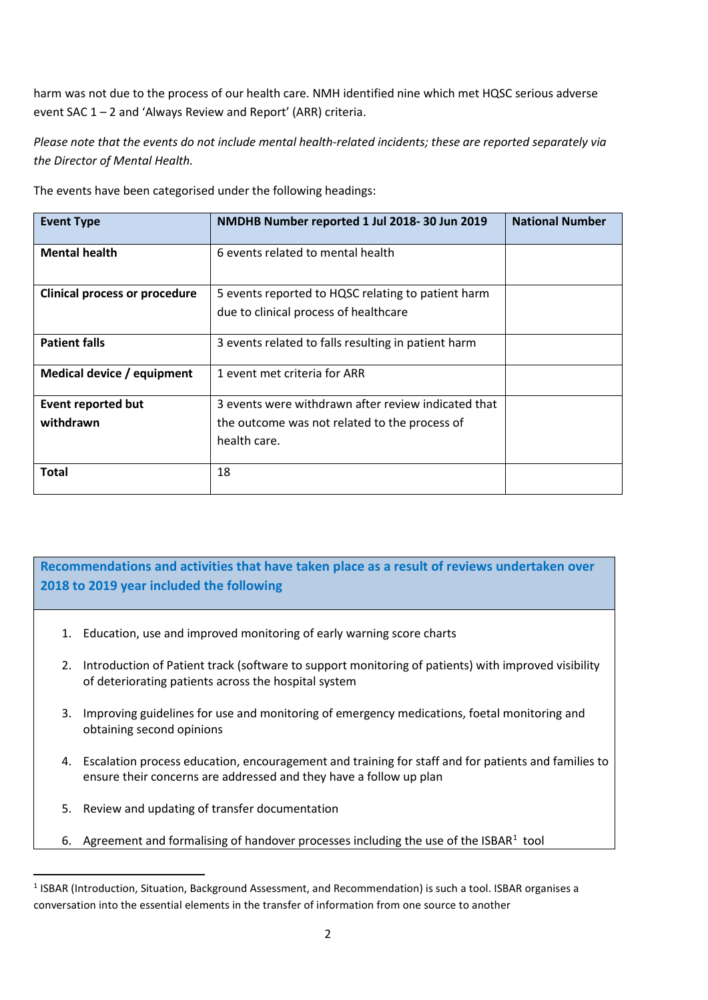harm was not due to the process of our health care. NMH identified nine which met HQSC serious adverse event SAC 1 – 2 and 'Always Review and Report' (ARR) criteria.

*Please note that the events do not include mental health-related incidents; these are reported separately via the Director of Mental Health.*

|  |  | The events have been categorised under the following headings: |  |  |
|--|--|----------------------------------------------------------------|--|--|
|  |  |                                                                |  |  |
|  |  |                                                                |  |  |

| <b>Event Type</b>                    | NMDHB Number reported 1 Jul 2018-30 Jun 2019        | <b>National Number</b> |
|--------------------------------------|-----------------------------------------------------|------------------------|
| <b>Mental health</b>                 | 6 events related to mental health                   |                        |
| <b>Clinical process or procedure</b> | 5 events reported to HQSC relating to patient harm  |                        |
|                                      | due to clinical process of healthcare               |                        |
| <b>Patient falls</b>                 | 3 events related to falls resulting in patient harm |                        |
| Medical device / equipment           | 1 event met criteria for ARR                        |                        |
| <b>Event reported but</b>            | 3 events were withdrawn after review indicated that |                        |
| withdrawn                            | the outcome was not related to the process of       |                        |
|                                      | health care.                                        |                        |
| <b>Total</b>                         | 18                                                  |                        |

## **Recommendations and activities that have taken place as a result of reviews undertaken over 2018 to 2019 year included the following**

- 1. Education, use and improved monitoring of early warning score charts
- 2. Introduction of Patient track (software to support monitoring of patients) with improved visibility of deteriorating patients across the hospital system
- 3. Improving guidelines for use and monitoring of emergency medications, foetal monitoring and obtaining second opinions
- 4. Escalation process education, encouragement and training for staff and for patients and families to ensure their concerns are addressed and they have a follow up plan
- 5. Review and updating of transfer documentation
- 6. Agreement and formalising of handover processes including the use of the ISBAR $1$  tool

<span id="page-1-0"></span><sup>&</sup>lt;sup>1</sup> ISBAR (Introduction, Situation, Background Assessment, and Recommendation) is such a tool. ISBAR organises a conversation into the essential elements in the transfer of information from one source to another